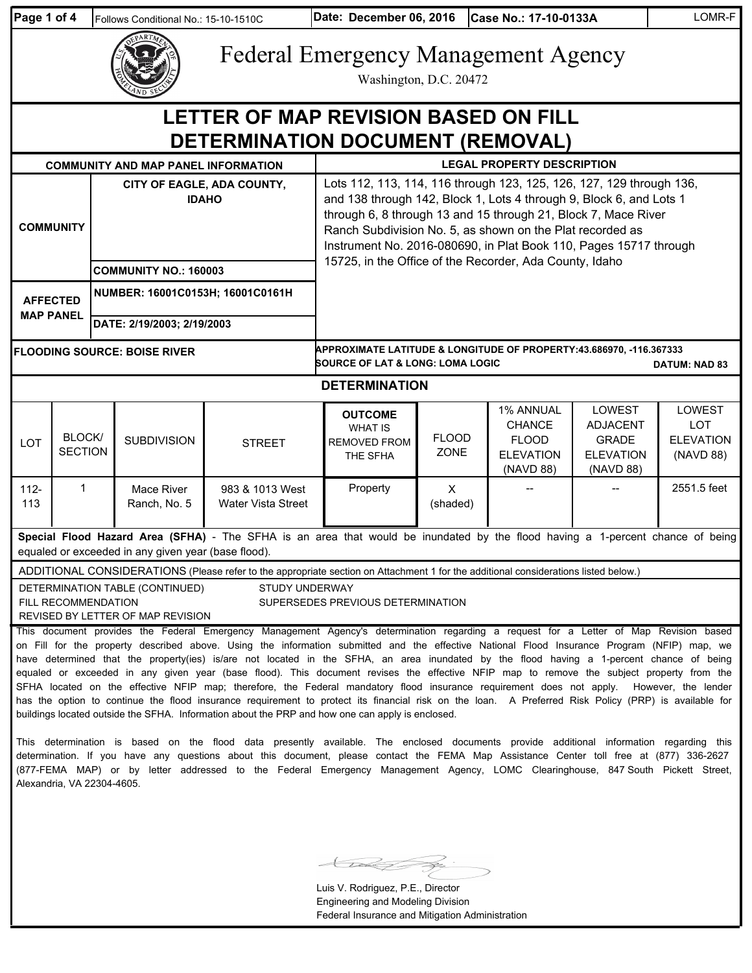| Page 1 of 4                                                                                                                                                                                                                                                                                                                                                                                                                                                                                                                                                                                                                                                                                                                                                                                                                                                                                                                                                                                                                                                                                                                                                                                                                                                                   |                                                                                 | Follows Conditional No.: 15-10-1510C |                                            | Date: December 06, 2016<br>Case No.: 17-10-0133A                                                                                                                                                                                                                                                                                                |                      |                                                                             |                                                                                   | LOMR-F                                                       |  |
|-------------------------------------------------------------------------------------------------------------------------------------------------------------------------------------------------------------------------------------------------------------------------------------------------------------------------------------------------------------------------------------------------------------------------------------------------------------------------------------------------------------------------------------------------------------------------------------------------------------------------------------------------------------------------------------------------------------------------------------------------------------------------------------------------------------------------------------------------------------------------------------------------------------------------------------------------------------------------------------------------------------------------------------------------------------------------------------------------------------------------------------------------------------------------------------------------------------------------------------------------------------------------------|---------------------------------------------------------------------------------|--------------------------------------|--------------------------------------------|-------------------------------------------------------------------------------------------------------------------------------------------------------------------------------------------------------------------------------------------------------------------------------------------------------------------------------------------------|----------------------|-----------------------------------------------------------------------------|-----------------------------------------------------------------------------------|--------------------------------------------------------------|--|
|                                                                                                                                                                                                                                                                                                                                                                                                                                                                                                                                                                                                                                                                                                                                                                                                                                                                                                                                                                                                                                                                                                                                                                                                                                                                               |                                                                                 |                                      |                                            | <b>Federal Emergency Management Agency</b><br>Washington, D.C. 20472                                                                                                                                                                                                                                                                            |                      |                                                                             |                                                                                   |                                                              |  |
| LETTER OF MAP REVISION BASED ON FILL<br>DETERMINATION DOCUMENT (REMOVAL)                                                                                                                                                                                                                                                                                                                                                                                                                                                                                                                                                                                                                                                                                                                                                                                                                                                                                                                                                                                                                                                                                                                                                                                                      |                                                                                 |                                      |                                            |                                                                                                                                                                                                                                                                                                                                                 |                      |                                                                             |                                                                                   |                                                              |  |
|                                                                                                                                                                                                                                                                                                                                                                                                                                                                                                                                                                                                                                                                                                                                                                                                                                                                                                                                                                                                                                                                                                                                                                                                                                                                               | <b>LEGAL PROPERTY DESCRIPTION</b><br><b>COMMUNITY AND MAP PANEL INFORMATION</b> |                                      |                                            |                                                                                                                                                                                                                                                                                                                                                 |                      |                                                                             |                                                                                   |                                                              |  |
| <b>COMMUNITY</b>                                                                                                                                                                                                                                                                                                                                                                                                                                                                                                                                                                                                                                                                                                                                                                                                                                                                                                                                                                                                                                                                                                                                                                                                                                                              |                                                                                 |                                      | CITY OF EAGLE, ADA COUNTY,<br><b>IDAHO</b> | Lots 112, 113, 114, 116 through 123, 125, 126, 127, 129 through 136,<br>and 138 through 142, Block 1, Lots 4 through 9, Block 6, and Lots 1<br>through 6, 8 through 13 and 15 through 21, Block 7, Mace River<br>Ranch Subdivision No. 5, as shown on the Plat recorded as<br>Instrument No. 2016-080690, in Plat Book 110, Pages 15717 through |                      |                                                                             |                                                                                   |                                                              |  |
|                                                                                                                                                                                                                                                                                                                                                                                                                                                                                                                                                                                                                                                                                                                                                                                                                                                                                                                                                                                                                                                                                                                                                                                                                                                                               |                                                                                 | <b>COMMUNITY NO.: 160003</b>         |                                            | 15725, in the Office of the Recorder, Ada County, Idaho                                                                                                                                                                                                                                                                                         |                      |                                                                             |                                                                                   |                                                              |  |
|                                                                                                                                                                                                                                                                                                                                                                                                                                                                                                                                                                                                                                                                                                                                                                                                                                                                                                                                                                                                                                                                                                                                                                                                                                                                               | <b>AFFECTED</b><br><b>MAP PANEL</b>                                             | NUMBER: 16001C0153H; 16001C0161H     |                                            |                                                                                                                                                                                                                                                                                                                                                 |                      |                                                                             |                                                                                   |                                                              |  |
|                                                                                                                                                                                                                                                                                                                                                                                                                                                                                                                                                                                                                                                                                                                                                                                                                                                                                                                                                                                                                                                                                                                                                                                                                                                                               |                                                                                 | DATE: 2/19/2003; 2/19/2003           |                                            |                                                                                                                                                                                                                                                                                                                                                 |                      |                                                                             |                                                                                   |                                                              |  |
|                                                                                                                                                                                                                                                                                                                                                                                                                                                                                                                                                                                                                                                                                                                                                                                                                                                                                                                                                                                                                                                                                                                                                                                                                                                                               |                                                                                 | <b>FLOODING SOURCE: BOISE RIVER</b>  |                                            | APPROXIMATE LATITUDE & LONGITUDE OF PROPERTY:43.686970, -116.367333<br><b>SOURCE OF LAT &amp; LONG: LOMA LOGIC</b><br><b>DATUM: NAD 83</b>                                                                                                                                                                                                      |                      |                                                                             |                                                                                   |                                                              |  |
| <b>DETERMINATION</b>                                                                                                                                                                                                                                                                                                                                                                                                                                                                                                                                                                                                                                                                                                                                                                                                                                                                                                                                                                                                                                                                                                                                                                                                                                                          |                                                                                 |                                      |                                            |                                                                                                                                                                                                                                                                                                                                                 |                      |                                                                             |                                                                                   |                                                              |  |
| LOT                                                                                                                                                                                                                                                                                                                                                                                                                                                                                                                                                                                                                                                                                                                                                                                                                                                                                                                                                                                                                                                                                                                                                                                                                                                                           | <b>BLOCK/</b><br><b>SECTION</b>                                                 | <b>SUBDIVISION</b>                   | <b>STREET</b>                              | <b>OUTCOME</b><br><b>WHAT IS</b><br><b>REMOVED FROM</b><br>THE SFHA                                                                                                                                                                                                                                                                             | <b>FLOOD</b><br>ZONE | 1% ANNUAL<br><b>CHANCE</b><br><b>FLOOD</b><br><b>ELEVATION</b><br>(NAVD 88) | <b>LOWEST</b><br><b>ADJACENT</b><br><b>GRADE</b><br><b>ELEVATION</b><br>(NAVD 88) | <b>LOWEST</b><br><b>LOT</b><br><b>ELEVATION</b><br>(NAVD 88) |  |
| $112 -$<br>113                                                                                                                                                                                                                                                                                                                                                                                                                                                                                                                                                                                                                                                                                                                                                                                                                                                                                                                                                                                                                                                                                                                                                                                                                                                                | $\mathbf{1}$                                                                    | Mace River<br>Ranch, No. 5           | 983 & 1013 West<br>Water Vista Street      | Property                                                                                                                                                                                                                                                                                                                                        | X<br>(shaded)        |                                                                             |                                                                                   | 2551.5 feet                                                  |  |
| Special Flood Hazard Area (SFHA) - The SFHA is an area that would be inundated by the flood having a 1-percent chance of being<br>equaled or exceeded in any given year (base flood).                                                                                                                                                                                                                                                                                                                                                                                                                                                                                                                                                                                                                                                                                                                                                                                                                                                                                                                                                                                                                                                                                         |                                                                                 |                                      |                                            |                                                                                                                                                                                                                                                                                                                                                 |                      |                                                                             |                                                                                   |                                                              |  |
| ADDITIONAL CONSIDERATIONS (Please refer to the appropriate section on Attachment 1 for the additional considerations listed below.)                                                                                                                                                                                                                                                                                                                                                                                                                                                                                                                                                                                                                                                                                                                                                                                                                                                                                                                                                                                                                                                                                                                                           |                                                                                 |                                      |                                            |                                                                                                                                                                                                                                                                                                                                                 |                      |                                                                             |                                                                                   |                                                              |  |
| STUDY UNDERWAY<br>DETERMINATION TABLE (CONTINUED)<br>FILL RECOMMENDATION<br>SUPERSEDES PREVIOUS DETERMINATION<br>REVISED BY LETTER OF MAP REVISION                                                                                                                                                                                                                                                                                                                                                                                                                                                                                                                                                                                                                                                                                                                                                                                                                                                                                                                                                                                                                                                                                                                            |                                                                                 |                                      |                                            |                                                                                                                                                                                                                                                                                                                                                 |                      |                                                                             |                                                                                   |                                                              |  |
| This document provides the Federal Emergency Management Agency's determination regarding a request for a Letter of Map Revision based<br>on Fill for the property described above. Using the information submitted and the effective National Flood Insurance Program (NFIP) map, we<br>have determined that the property(ies) is/are not located in the SFHA, an area inundated by the flood having a 1-percent chance of being<br>equaled or exceeded in any given year (base flood). This document revises the effective NFIP map to remove the subject property from the<br>SFHA located on the effective NFIP map; therefore, the Federal mandatory flood insurance requirement does not apply.<br>However, the lender<br>has the option to continue the flood insurance requirement to protect its financial risk on the loan. A Preferred Risk Policy (PRP) is available for<br>buildings located outside the SFHA. Information about the PRP and how one can apply is enclosed.<br>This determination is based on the flood data presently available. The enclosed documents provide additional information regarding this<br>determination. If you have any questions about this document, please contact the FEMA Map Assistance Center toll free at (877) 336-2627 |                                                                                 |                                      |                                            |                                                                                                                                                                                                                                                                                                                                                 |                      |                                                                             |                                                                                   |                                                              |  |

 $\overrightarrow{p}$  $\bigcup$ 

(877-FEMA MAP) or by letter addressed to the Federal Emergency Management Agency, LOMC Clearinghouse, 847 South Pickett Street,

Alexandria, VA 22304-4605.

Luis V. Rodriguez, P.E., Director Engineering and Modeling Division Federal Insurance and Mitigation Administration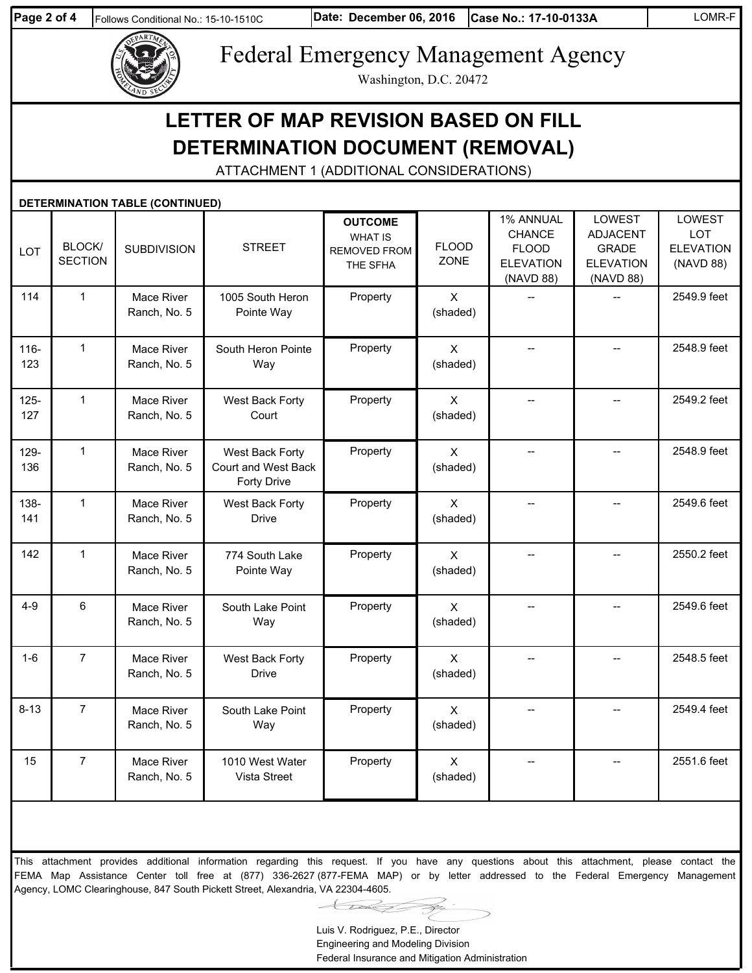

# Federal Emergency Management Agency

Washington, D.C. 20472

## **LETTER OF MAP REVISION BASED ON FILL DETERMINATION DOCUMENT (REMOVAL)**

ATTACHMENT 1 (ADDITIONAL CONSIDERATIONS)

|                | <b>DETERMINATION TABLE (CONTINUED)</b> |                            |                                                       |                                                                     |                            |                                                                      |                                                                                   |                                                              |  |  |
|----------------|----------------------------------------|----------------------------|-------------------------------------------------------|---------------------------------------------------------------------|----------------------------|----------------------------------------------------------------------|-----------------------------------------------------------------------------------|--------------------------------------------------------------|--|--|
| LOT            | <b>BLOCK/</b><br><b>SECTION</b>        | <b>SUBDIVISION</b>         | <b>STREET</b>                                         | <b>OUTCOME</b><br><b>WHAT IS</b><br><b>REMOVED FROM</b><br>THE SFHA | <b>FLOOD</b><br>ZONE       | 1% ANNUAL<br>CHANCE<br><b>FLOOD</b><br><b>ELEVATION</b><br>(NAVD 88) | <b>LOWEST</b><br><b>ADJACENT</b><br><b>GRADE</b><br><b>ELEVATION</b><br>(NAVD 88) | <b>LOWEST</b><br><b>LOT</b><br><b>ELEVATION</b><br>(NAVD 88) |  |  |
| 114            | $\mathbf{1}$                           | Mace River<br>Ranch, No. 5 | 1005 South Heron<br>Pointe Way                        | Property                                                            | $\pmb{\times}$<br>(shaded) | $-$                                                                  | $\overline{a}$                                                                    | 2549.9 feet                                                  |  |  |
| $116 -$<br>123 | $\mathbf{1}$                           | Mace River<br>Ranch, No. 5 | South Heron Pointe<br>Way                             | Property                                                            | $\mathsf{X}$<br>(shaded)   | $-$                                                                  | $\overline{\phantom{a}}$                                                          | 2548.9 feet                                                  |  |  |
| $125 -$<br>127 | $\mathbf{1}$                           | Mace River<br>Ranch, No. 5 | West Back Forty<br>Court                              | Property                                                            | $\mathsf{X}$<br>(shaded)   | $\overline{a}$                                                       |                                                                                   | 2549.2 feet                                                  |  |  |
| 129-<br>136    | $\mathbf{1}$                           | Mace River<br>Ranch, No. 5 | West Back Forty<br>Court and West Back<br>Forty Drive | Property                                                            | $\mathsf{X}$<br>(shaded)   | $\overline{a}$                                                       | $-$                                                                               | 2548.9 feet                                                  |  |  |
| 138-<br>141    | $\mathbf{1}$                           | Mace River<br>Ranch, No. 5 | West Back Forty<br><b>Drive</b>                       | Property                                                            | $\mathsf{X}$<br>(shaded)   | ÷-                                                                   | $\overline{\phantom{a}}$                                                          | 2549.6 feet                                                  |  |  |
| 142            | $\mathbf{1}$                           | Mace River<br>Ranch, No. 5 | 774 South Lake<br>Pointe Way                          | Property                                                            | $\mathsf{x}$<br>(shaded)   | <u>.,</u>                                                            | $\overline{a}$                                                                    | 2550.2 feet                                                  |  |  |
| $4 - 9$        | $\,6$                                  | Mace River<br>Ranch, No. 5 | South Lake Point<br>Way                               | Property                                                            | $\mathsf{X}$<br>(shaded)   | --                                                                   | $\overline{\phantom{a}}$                                                          | 2549.6 feet                                                  |  |  |
| $1-6$          | $\overline{7}$                         | Mace River<br>Ranch, No. 5 | West Back Forty<br><b>Drive</b>                       | Property                                                            | $\mathsf{X}$<br>(shaded)   |                                                                      |                                                                                   | 2548.5 feet                                                  |  |  |
| $8 - 13$       | $\overline{7}$                         | Mace River<br>Ranch, No. 5 | South Lake Point<br>Way                               | Property                                                            | $\mathsf{X}$<br>(shaded)   | $\overline{a}$                                                       | $\overline{a}$                                                                    | 2549.4 feet                                                  |  |  |
| 15             | $\overline{7}$                         | Mace River<br>Ranch, No. 5 | 1010 West Water<br>Vista Street                       | Property                                                            | $\pmb{\times}$<br>(shaded) | --                                                                   |                                                                                   | 2551.6 feet                                                  |  |  |

This attachment provides additional information regarding this request. If you have any questions about this attachment, please contact the FEMA Map Assistance Center toll free at (877) 336-2627 (877-FEMA MAP) or by letter addressed to the Federal Emergency Management Agency, LOMC Clearinghouse, 847 South Pickett Street, Alexandria, VA 22304-4605.

Luis V. Rodriguez, P.E., Director Engineering and Modeling Division Federal Insurance and Mitigation Administration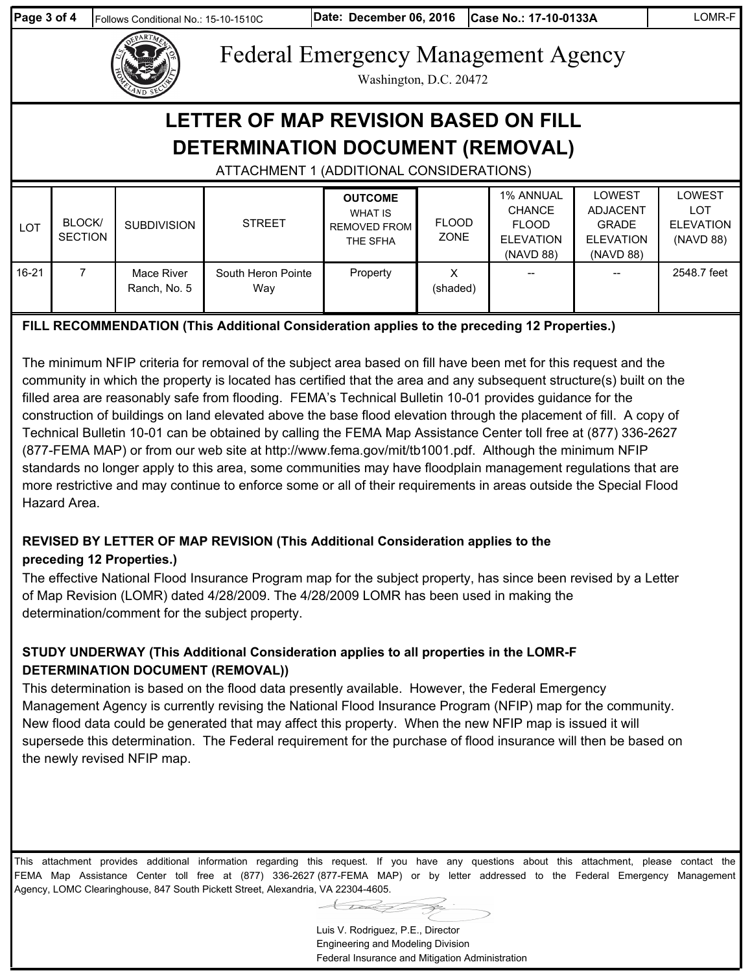| Page 3 of 4<br>Follows Conditional No.: 15-10-1510C                                                                         |                                 |                            |                           | Date: December 06, 2016                                             |                             | Case No.: 17-10-0133A                                                              |                                                                                   | LOMR-F                                                       |  |
|-----------------------------------------------------------------------------------------------------------------------------|---------------------------------|----------------------------|---------------------------|---------------------------------------------------------------------|-----------------------------|------------------------------------------------------------------------------------|-----------------------------------------------------------------------------------|--------------------------------------------------------------|--|
| <b>Federal Emergency Management Agency</b><br>Washington, D.C. 20472                                                        |                                 |                            |                           |                                                                     |                             |                                                                                    |                                                                                   |                                                              |  |
| <b>LETTER OF MAP REVISION BASED ON FILL</b><br>DETERMINATION DOCUMENT (REMOVAL)<br>ATTACHMENT 1 (ADDITIONAL CONSIDERATIONS) |                                 |                            |                           |                                                                     |                             |                                                                                    |                                                                                   |                                                              |  |
| <b>LOT</b>                                                                                                                  | <b>BLOCK/</b><br><b>SECTION</b> | <b>SUBDIVISION</b>         | <b>STREET</b>             | <b>OUTCOME</b><br><b>WHAT IS</b><br><b>REMOVED FROM</b><br>THE SFHA | <b>FLOOD</b><br><b>ZONE</b> | <b>1% ANNUAL</b><br><b>CHANCE</b><br><b>FLOOD</b><br><b>ELEVATION</b><br>(NAVD 88) | <b>LOWEST</b><br><b>ADJACENT</b><br><b>GRADE</b><br><b>ELEVATION</b><br>(NAVD 88) | <b>LOWEST</b><br><b>LOT</b><br><b>ELEVATION</b><br>(NAVD 88) |  |
| $16 - 21$                                                                                                                   | $\overline{7}$                  | Mace River<br>Ranch, No. 5 | South Heron Pointe<br>Way | Property                                                            | X<br>(shaded)               |                                                                                    |                                                                                   | 2548.7 feet                                                  |  |

### **FILL RECOMMENDATION (This Additional Consideration applies to the preceding 12 Properties.)**

The minimum NFIP criteria for removal of the subject area based on fill have been met for this request and the community in which the property is located has certified that the area and any subsequent structure(s) built on the filled area are reasonably safe from flooding. FEMA's Technical Bulletin 10-01 provides guidance for the construction of buildings on land elevated above the base flood elevation through the placement of fill. A copy of Technical Bulletin 10-01 can be obtained by calling the FEMA Map Assistance Center toll free at (877) 336-2627 (877-FEMA MAP) or from our web site at http://www.fema.gov/mit/tb1001.pdf. Although the minimum NFIP standards no longer apply to this area, some communities may have floodplain management regulations that are more restrictive and may continue to enforce some or all of their requirements in areas outside the Special Flood Hazard Area.

### **REVISED BY LETTER OF MAP REVISION (This Additional Consideration applies to the**

#### **preceding 12 Properties.)**

The effective National Flood Insurance Program map for the subject property, has since been revised by a Letter of Map Revision (LOMR) dated 4/28/2009. The 4/28/2009 LOMR has been used in making the determination/comment for the subject property.

### **STUDY UNDERWAY (This Additional Consideration applies to all properties in the LOMR-F DETERMINATION DOCUMENT (REMOVAL))**

This determination is based on the flood data presently available. However, the Federal Emergency Management Agency is currently revising the National Flood Insurance Program (NFIP) map for the community. New flood data could be generated that may affect this property. When the new NFIP map is issued it will supersede this determination. The Federal requirement for the purchase of flood insurance will then be based on the newly revised NFIP map.

This attachment provides additional information regarding this request. If you have any questions about this attachment, please contact the FEMA Map Assistance Center toll free at (877) 336-2627 (877-FEMA MAP) or by letter addressed to the Federal Emergency Management Agency, LOMC Clearinghouse, 847 South Pickett Street, Alexandria, VA 22304-4605.

> Luis V. Rodriguez, P.E., Director Engineering and Modeling Division Federal Insurance and Mitigation Administration